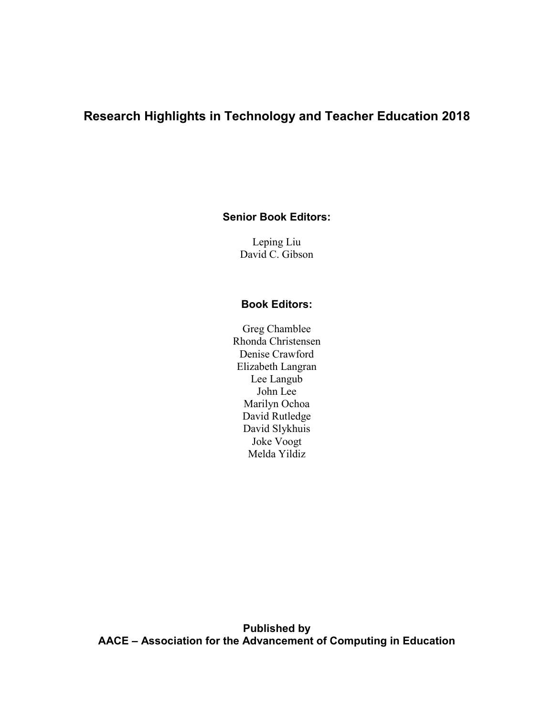# **Research Highlights in Technology and Teacher Education 2018**

**Senior Book Editors:**

Leping Liu David C. Gibson

## **Book Editors:**

Greg Chamblee Rhonda Christensen Denise Crawford Elizabeth Langran Lee Langub John Lee Marilyn Ochoa David Rutledge David Slykhuis Joke Voogt Melda Yildiz

**Published by AACE – Association for the Advancement of Computing in Education**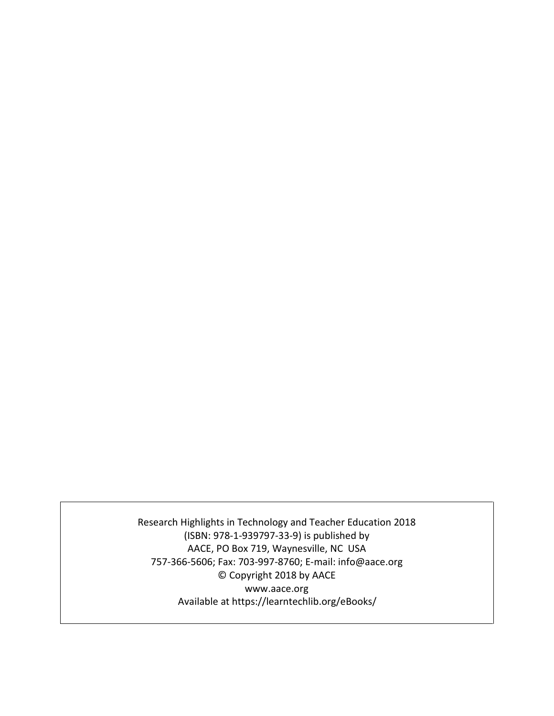Research Highlights in Technology and Teacher Education 2018 (ISBN: 978-1-939797-33-9) is published by AACE, PO Box 719, Waynesville, NC USA 757-366-5606; Fax: 703-997-8760; E-mail: info@aace.org © Copyright 2018 by AACE www.aace.org Available at https://learntechlib.org/eBooks/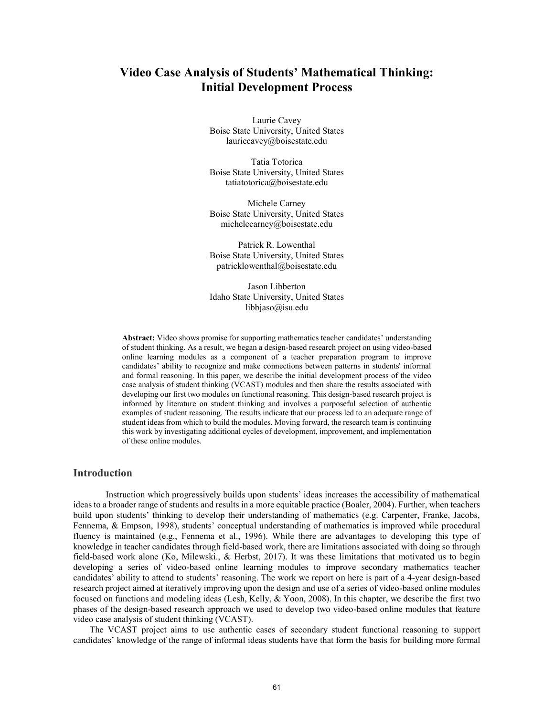## **Video Case Analysis of Students' Mathematical Thinking: Initial Development Process**

Laurie Cavey Boise State University, United States lauriecavey@boisestate.edu

Tatia Totorica Boise State University, United States tatiatotorica@boisestate.edu

Michele Carney Boise State University, United States michelecarney@boisestate.edu

Patrick R. Lowenthal Boise State University, United States patricklowenthal@boisestate.edu

Jason Libberton Idaho State University, United States libbjaso@isu.edu

**Abstract:** Video shows promise for supporting mathematics teacher candidates' understanding of student thinking. As a result, we began a design-based research project on using video-based online learning modules as a component of a teacher preparation program to improve candidates' ability to recognize and make connections between patterns in students' informal and formal reasoning. In this paper, we describe the initial development process of the video case analysis of student thinking (VCAST) modules and then share the results associated with developing our first two modules on functional reasoning. This design-based research project is informed by literature on student thinking and involves a purposeful selection of authentic examples of student reasoning. The results indicate that our process led to an adequate range of student ideas from which to build the modules. Moving forward, the research team is continuing this work by investigating additional cycles of development, improvement, and implementation of these online modules.

### **Introduction**

Instruction which progressively builds upon students' ideas increases the accessibility of mathematical ideas to a broader range of students and results in a more equitable practice (Boaler, 2004). Further, when teachers build upon students' thinking to develop their understanding of mathematics (e.g. Carpenter, Franke, Jacobs, Fennema, & Empson, 1998), students' conceptual understanding of mathematics is improved while procedural fluency is maintained (e.g., Fennema et al., 1996). While there are advantages to developing this type of knowledge in teacher candidates through field-based work, there are limitations associated with doing so through field-based work alone (Ko, Milewski., & Herbst, 2017). It was these limitations that motivated us to begin developing a series of video-based online learning modules to improve secondary mathematics teacher candidates' ability to attend to students' reasoning. The work we report on here is part of a 4-year design-based research project aimed at iteratively improving upon the design and use of a series of video-based online modules focused on functions and modeling ideas (Lesh, Kelly, & Yoon, 2008). In this chapter, we describe the first two phases of the design-based research approach we used to develop two video-based online modules that feature video case analysis of student thinking (VCAST).

The VCAST project aims to use authentic cases of secondary student functional reasoning to support candidates' knowledge of the range of informal ideas students have that form the basis for building more formal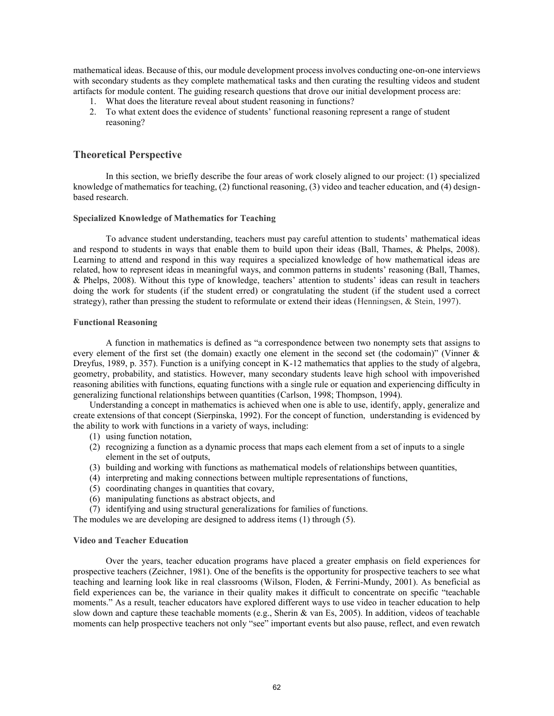mathematical ideas. Because of this, our module development process involves conducting one-on-one interviews with secondary students as they complete mathematical tasks and then curating the resulting videos and student artifacts for module content. The guiding research questions that drove our initial development process are:

- 1. What does the literature reveal about student reasoning in functions?
- 2. To what extent does the evidence of students' functional reasoning represent a range of student reasoning?

### **Theoretical Perspective**

In this section, we briefly describe the four areas of work closely aligned to our project: (1) specialized knowledge of mathematics for teaching, (2) functional reasoning, (3) video and teacher education, and (4) designbased research.

#### **Specialized Knowledge of Mathematics for Teaching**

To advance student understanding, teachers must pay careful attention to students' mathematical ideas and respond to students in ways that enable them to build upon their ideas (Ball, Thames, & Phelps, 2008). Learning to attend and respond in this way requires a specialized knowledge of how mathematical ideas are related, how to represent ideas in meaningful ways, and common patterns in students' reasoning (Ball, Thames, & Phelps, 2008). Without this type of knowledge, teachers' attention to students' ideas can result in teachers doing the work for students (if the student erred) or congratulating the student (if the student used a correct strategy), rather than pressing the student to reformulate or extend their ideas (Henningsen, & Stein, 1997).

#### **Functional Reasoning**

A function in mathematics is defined as "a correspondence between two nonempty sets that assigns to every element of the first set (the domain) exactly one element in the second set (the codomain)" (Vinner & Dreyfus, 1989, p. 357). Function is a unifying concept in K-12 mathematics that applies to the study of algebra, geometry, probability, and statistics. However, many secondary students leave high school with impoverished reasoning abilities with functions, equating functions with a single rule or equation and experiencing difficulty in generalizing functional relationships between quantities (Carlson, 1998; Thompson, 1994).

Understanding a concept in mathematics is achieved when one is able to use, identify, apply, generalize and create extensions of that concept (Sierpinska, 1992). For the concept of function, understanding is evidenced by the ability to work with functions in a variety of ways, including:

- (1) using function notation,
- (2) recognizing a function as a dynamic process that maps each element from a set of inputs to a single element in the set of outputs,
- (3) building and working with functions as mathematical models of relationships between quantities,
- (4) interpreting and making connections between multiple representations of functions,
- (5) coordinating changes in quantities that covary,
- (6) manipulating functions as abstract objects, and
- (7) identifying and using structural generalizations for families of functions.

The modules we are developing are designed to address items (1) through (5).

#### **Video and Teacher Education**

Over the years, teacher education programs have placed a greater emphasis on field experiences for prospective teachers (Zeichner, 1981). One of the benefits is the opportunity for prospective teachers to see what teaching and learning look like in real classrooms (Wilson, Floden, & Ferrini-Mundy, 2001). As beneficial as field experiences can be, the variance in their quality makes it difficult to concentrate on specific "teachable moments." As a result, teacher educators have explored different ways to use video in teacher education to help slow down and capture these teachable moments (e.g., Sherin & van Es, 2005). In addition, videos of teachable moments can help prospective teachers not only "see" important events but also pause, reflect, and even rewatch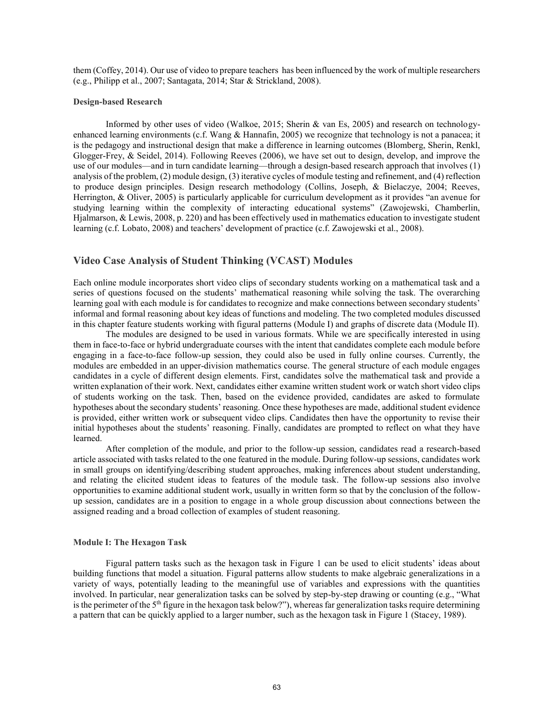them (Coffey, 2014). Our use of video to prepare teachers has been influenced by the work of multiple researchers (e.g., Philipp et al., 2007; Santagata, 2014; Star & Strickland, 2008).

#### **Design-based Research**

Informed by other uses of video (Walkoe, 2015; Sherin & van Es, 2005) and research on technologyenhanced learning environments (c.f. Wang & Hannafin, 2005) we recognize that technology is not a panacea; it is the pedagogy and instructional design that make a difference in learning outcomes (Blomberg, Sherin, Renkl, Glogger-Frey, & Seidel, 2014). Following Reeves (2006), we have set out to design, develop, and improve the use of our modules—and in turn candidate learning—through a design-based research approach that involves (1) analysis of the problem, (2) module design, (3) iterative cycles of module testing and refinement, and (4) reflection to produce design principles. Design research methodology (Collins, Joseph, & Bielaczye, 2004; Reeves, Herrington, & Oliver, 2005) is particularly applicable for curriculum development as it provides "an avenue for studying learning within the complexity of interacting educational systems" (Zawojewski, Chamberlin, Hjalmarson, & Lewis, 2008, p. 220) and has been effectively used in mathematics education to investigate student learning (c.f. Lobato, 2008) and teachers' development of practice (c.f. Zawojewski et al., 2008).

## **Video Case Analysis of Student Thinking (VCAST) Modules**

Each online module incorporates short video clips of secondary students working on a mathematical task and a series of questions focused on the students' mathematical reasoning while solving the task. The overarching learning goal with each module is for candidates to recognize and make connections between secondary students' informal and formal reasoning about key ideas of functions and modeling. The two completed modules discussed in this chapter feature students working with figural patterns (Module I) and graphs of discrete data (Module II).

The modules are designed to be used in various formats. While we are specifically interested in using them in face-to-face or hybrid undergraduate courses with the intent that candidates complete each module before engaging in a face-to-face follow-up session, they could also be used in fully online courses. Currently, the modules are embedded in an upper-division mathematics course. The general structure of each module engages candidates in a cycle of different design elements. First, candidates solve the mathematical task and provide a written explanation of their work. Next, candidates either examine written student work or watch short video clips of students working on the task. Then, based on the evidence provided, candidates are asked to formulate hypotheses about the secondary students' reasoning. Once these hypotheses are made, additional student evidence is provided, either written work or subsequent video clips. Candidates then have the opportunity to revise their initial hypotheses about the students' reasoning. Finally, candidates are prompted to reflect on what they have learned.

After completion of the module, and prior to the follow-up session, candidates read a research-based article associated with tasks related to the one featured in the module. During follow-up sessions, candidates work in small groups on identifying/describing student approaches, making inferences about student understanding, and relating the elicited student ideas to features of the module task. The follow-up sessions also involve opportunities to examine additional student work, usually in written form so that by the conclusion of the followup session, candidates are in a position to engage in a whole group discussion about connections between the assigned reading and a broad collection of examples of student reasoning.

#### **Module I: The Hexagon Task**

Figural pattern tasks such as the hexagon task in Figure 1 can be used to elicit students' ideas about building functions that model a situation. Figural patterns allow students to make algebraic generalizations in a variety of ways, potentially leading to the meaningful use of variables and expressions with the quantities involved. In particular, near generalization tasks can be solved by step-by-step drawing or counting (e.g., "What is the perimeter of the  $5<sup>th</sup>$  figure in the hexagon task below?"), whereas far generalization tasks require determining a pattern that can be quickly applied to a larger number, such as the hexagon task in Figure 1 (Stacey, 1989).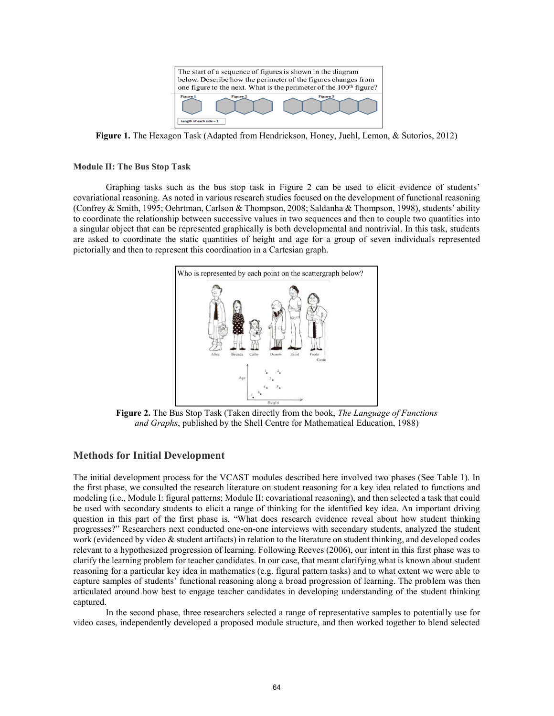

**Figure 1.** The Hexagon Task (Adapted from Hendrickson, Honey, Juehl, Lemon, & Sutorios, 2012)

#### **Module II: The Bus Stop Task**

Graphing tasks such as the bus stop task in Figure 2 can be used to elicit evidence of students' covariational reasoning. As noted in various research studies focused on the development of functional reasoning (Confrey & Smith, 1995; Oehrtman, Carlson & Thompson, 2008; Saldanha & Thompson, 1998), students' ability to coordinate the relationship between successive values in two sequences and then to couple two quantities into a singular object that can be represented graphically is both developmental and nontrivial. In this task, students are asked to coordinate the static quantities of height and age for a group of seven individuals represented pictorially and then to represent this coordination in a Cartesian graph.



**Figure 2.** The Bus Stop Task (Taken directly from the book, *The Language of Functions and Graphs*, published by the Shell Centre for Mathematical Education, 1988)

## **Methods for Initial Development**

The initial development process for the VCAST modules described here involved two phases (See Table 1). In the first phase, we consulted the research literature on student reasoning for a key idea related to functions and modeling (i.e., Module I: figural patterns; Module II: covariational reasoning), and then selected a task that could be used with secondary students to elicit a range of thinking for the identified key idea. An important driving question in this part of the first phase is, "What does research evidence reveal about how student thinking progresses?" Researchers next conducted one-on-one interviews with secondary students, analyzed the student work (evidenced by video  $\&$  student artifacts) in relation to the literature on student thinking, and developed codes relevant to a hypothesized progression of learning. Following Reeves (2006), our intent in this first phase was to clarify the learning problem for teacher candidates. In our case, that meant clarifying what is known about student reasoning for a particular key idea in mathematics (e.g. figural pattern tasks) and to what extent we were able to capture samples of students' functional reasoning along a broad progression of learning. The problem was then articulated around how best to engage teacher candidates in developing understanding of the student thinking captured.

In the second phase, three researchers selected a range of representative samples to potentially use for video cases, independently developed a proposed module structure, and then worked together to blend selected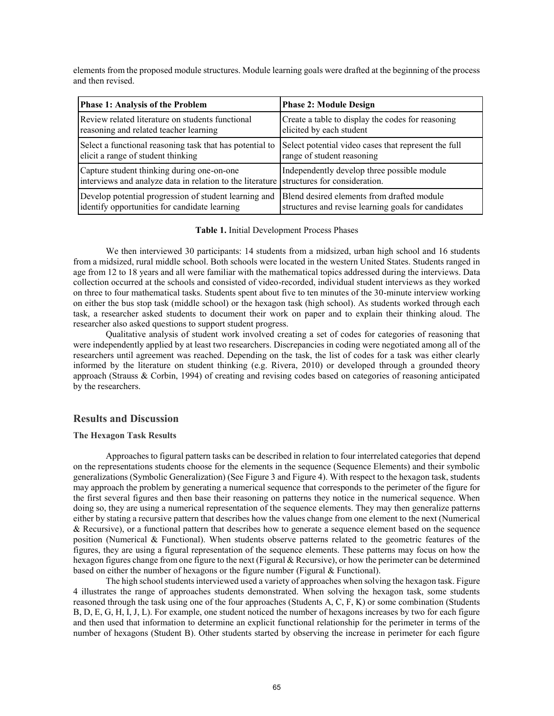elements from the proposed module structures. Module learning goals were drafted at the beginning of the process and then revised.

| <b>Phase 1: Analysis of the Problem</b>                   | <b>Phase 2: Module Design</b>                        |
|-----------------------------------------------------------|------------------------------------------------------|
| Review related literature on students functional          | Create a table to display the codes for reasoning    |
| reasoning and related teacher learning                    | elicited by each student                             |
| Select a functional reasoning task that has potential to  | Select potential video cases that represent the full |
| elicit a range of student thinking                        | range of student reasoning                           |
| Capture student thinking during one-on-one                | Independently develop three possible module          |
| interviews and analyze data in relation to the literature | structures for consideration.                        |
| Develop potential progression of student learning and     | Blend desired elements from drafted module           |
| identify opportunities for candidate learning             | structures and revise learning goals for candidates  |

#### **Table 1.** Initial Development Process Phases

We then interviewed 30 participants: 14 students from a midsized, urban high school and 16 students from a midsized, rural middle school. Both schools were located in the western United States. Students ranged in age from 12 to 18 years and all were familiar with the mathematical topics addressed during the interviews. Data collection occurred at the schools and consisted of video-recorded, individual student interviews as they worked on three to four mathematical tasks. Students spent about five to ten minutes of the 30-minute interview working on either the bus stop task (middle school) or the hexagon task (high school). As students worked through each task, a researcher asked students to document their work on paper and to explain their thinking aloud. The researcher also asked questions to support student progress.

Qualitative analysis of student work involved creating a set of codes for categories of reasoning that were independently applied by at least two researchers. Discrepancies in coding were negotiated among all of the researchers until agreement was reached. Depending on the task, the list of codes for a task was either clearly informed by the literature on student thinking (e.g. Rivera, 2010) or developed through a grounded theory approach (Strauss & Corbin, 1994) of creating and revising codes based on categories of reasoning anticipated by the researchers.

## **Results and Discussion**

#### **The Hexagon Task Results**

Approaches to figural pattern tasks can be described in relation to four interrelated categories that depend on the representations students choose for the elements in the sequence (Sequence Elements) and their symbolic generalizations (Symbolic Generalization) (See Figure 3 and Figure 4). With respect to the hexagon task, students may approach the problem by generating a numerical sequence that corresponds to the perimeter of the figure for the first several figures and then base their reasoning on patterns they notice in the numerical sequence. When doing so, they are using a numerical representation of the sequence elements. They may then generalize patterns either by stating a recursive pattern that describes how the values change from one element to the next (Numerical & Recursive), or a functional pattern that describes how to generate a sequence element based on the sequence position (Numerical & Functional). When students observe patterns related to the geometric features of the figures, they are using a figural representation of the sequence elements. These patterns may focus on how the hexagon figures change from one figure to the next (Figural & Recursive), or how the perimeter can be determined based on either the number of hexagons or the figure number (Figural  $\&$  Functional).

The high school students interviewed used a variety of approaches when solving the hexagon task. Figure 4 illustrates the range of approaches students demonstrated. When solving the hexagon task, some students reasoned through the task using one of the four approaches (Students A, C, F, K) or some combination (Students B, D, E, G, H, I, J, L). For example, one student noticed the number of hexagons increases by two for each figure and then used that information to determine an explicit functional relationship for the perimeter in terms of the number of hexagons (Student B). Other students started by observing the increase in perimeter for each figure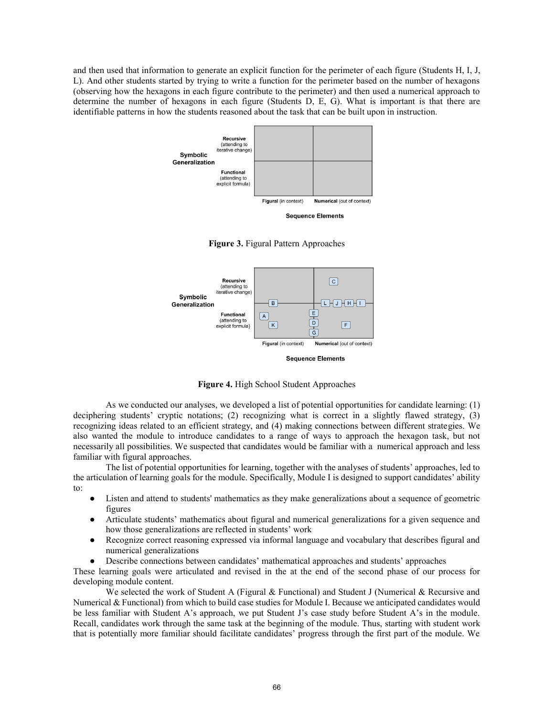and then used that information to generate an explicit function for the perimeter of each figure (Students H, I, J, L). And other students started by trying to write a function for the perimeter based on the number of hexagons (observing how the hexagons in each figure contribute to the perimeter) and then used a numerical approach to determine the number of hexagons in each figure (Students D, E, G). What is important is that there are identifiable patterns in how the students reasoned about the task that can be built upon in instruction.







**Figure 4.** High School Student Approaches

As we conducted our analyses, we developed a list of potential opportunities for candidate learning: (1) deciphering students' cryptic notations; (2) recognizing what is correct in a slightly flawed strategy, (3) recognizing ideas related to an efficient strategy, and (4) making connections between different strategies. We also wanted the module to introduce candidates to a range of ways to approach the hexagon task, but not necessarily all possibilities. We suspected that candidates would be familiar with a numerical approach and less familiar with figural approaches.

The list of potential opportunities for learning, together with the analyses of students' approaches, led to the articulation of learning goals for the module. Specifically, Module I is designed to support candidates' ability  $t^{\alpha}$ 

- Listen and attend to students' mathematics as they make generalizations about a sequence of geometric figures
- Articulate students' mathematics about figural and numerical generalizations for a given sequence and how those generalizations are reflected in students' work
- Recognize correct reasoning expressed via informal language and vocabulary that describes figural and numerical generalizations
- Describe connections between candidates' mathematical approaches and students' approaches

These learning goals were articulated and revised in the at the end of the second phase of our process for developing module content.

We selected the work of Student A (Figural & Functional) and Student J (Numerical & Recursive and Numerical & Functional) from which to build case studies for Module I. Because we anticipated candidates would be less familiar with Student A's approach, we put Student J's case study before Student A's in the module. Recall, candidates work through the same task at the beginning of the module. Thus, starting with student work that is potentially more familiar should facilitate candidates' progress through the first part of the module. We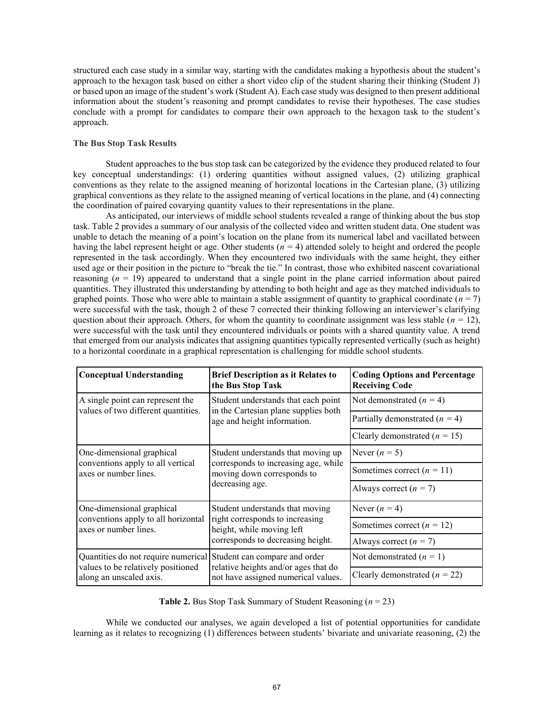structured each case study in a similar way, starting with the candidates making a hypothesis about the student's approach to the hexagon task based on either a short video clip of the student sharing their thinking (Student J) or based upon an image of the student's work (Student A). Each case study was designed to then present additional information about the student's reasoning and prompt candidates to revise their hypotheses. The case studies conclude with a prompt for candidates to compare their own approach to the hexagon task to the student's approach.

#### **The Bus Stop Task Results**

Student approaches to the bus stop task can be categorized by the evidence they produced related to four key conceptual understandings: (1) ordering quantities without assigned values, (2) utilizing graphical conventions as they relate to the assigned meaning of horizontal locations in the Cartesian plane, (3) utilizing graphical conventions as they relate to the assigned meaning of vertical locations in the plane, and (4) connecting the coordination of paired covarying quantity values to their representations in the plane.

As anticipated, our interviews of middle school students revealed a range of thinking about the bus stop task. Table 2 provides a summary of our analysis of the collected video and written student data. One student was unable to detach the meaning of a point's location on the plane from its numerical label and vacillated between having the label represent height or age. Other students (*n =* 4) attended solely to height and ordered the people represented in the task accordingly. When they encountered two individuals with the same height, they either used age or their position in the picture to "break the tie." In contrast, those who exhibited nascent covariational reasoning (*n* = 19) appeared to understand that a single point in the plane carried information about paired quantities. They illustrated this understanding by attending to both height and age as they matched individuals to graphed points. Those who were able to maintain a stable assignment of quantity to graphical coordinate  $(n = 7)$ were successful with the task, though 2 of these 7 corrected their thinking following an interviewer's clarifying question about their approach. Others, for whom the quantity to coordinate assignment was less stable ( $n = 12$ ), were successful with the task until they encountered individuals or points with a shared quantity value. A trend that emerged from our analysis indicates that assigning quantities typically represented vertically (such as height) to a horizontal coordinate in a graphical representation is challenging for middle school students.

| <b>Conceptual Understanding</b>                                                                      | <b>Brief Description as it Relates to</b><br>the Bus Stop Task                                                                       | <b>Coding Options and Percentage</b><br><b>Receiving Code</b> |
|------------------------------------------------------------------------------------------------------|--------------------------------------------------------------------------------------------------------------------------------------|---------------------------------------------------------------|
| A single point can represent the<br>values of two different quantities.                              | Student understands that each point<br>in the Cartesian plane supplies both<br>age and height information.                           | Not demonstrated $(n = 4)$                                    |
|                                                                                                      |                                                                                                                                      | Partially demonstrated $(n = 4)$                              |
|                                                                                                      |                                                                                                                                      | Clearly demonstrated $(n = 15)$                               |
| One-dimensional graphical<br>conventions apply to all vertical<br>axes or number lines.              | Student understands that moving up<br>corresponds to increasing age, while<br>moving down corresponds to<br>decreasing age.          | Never $(n = 5)$                                               |
|                                                                                                      |                                                                                                                                      | Sometimes correct $(n = 11)$                                  |
|                                                                                                      |                                                                                                                                      | Always correct $(n = 7)$                                      |
| One-dimensional graphical<br>conventions apply to all horizontal<br>axes or number lines.            | Student understands that moving<br>right corresponds to increasing<br>height, while moving left<br>corresponds to decreasing height. | Never $(n = 4)$                                               |
|                                                                                                      |                                                                                                                                      | Sometimes correct $(n = 12)$                                  |
|                                                                                                      |                                                                                                                                      | Always correct $(n = 7)$                                      |
| Quantities do not require numerical<br>values to be relatively positioned<br>along an unscaled axis. | Student can compare and order<br>relative heights and/or ages that do                                                                | Not demonstrated $(n = 1)$                                    |
|                                                                                                      | not have assigned numerical values.                                                                                                  | Clearly demonstrated $(n = 22)$                               |

**Table 2.** Bus Stop Task Summary of Student Reasoning (*n* = 23)

While we conducted our analyses, we again developed a list of potential opportunities for candidate learning as it relates to recognizing (1) differences between students' bivariate and univariate reasoning, (2) the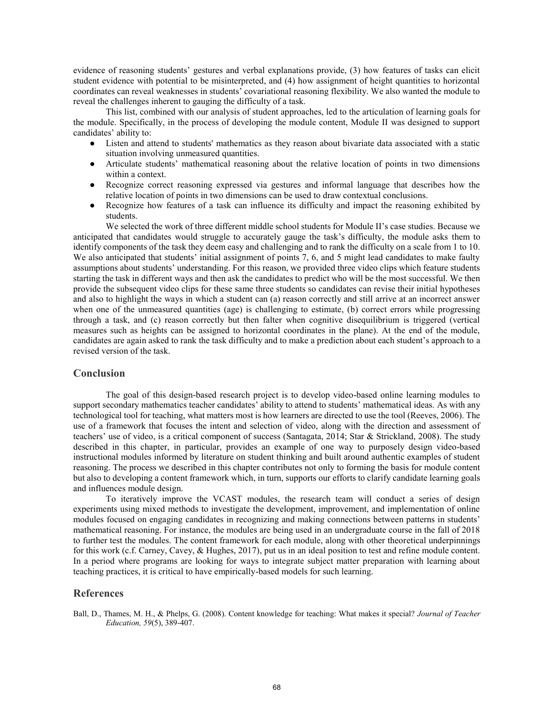evidence of reasoning students' gestures and verbal explanations provide, (3) how features of tasks can elicit student evidence with potential to be misinterpreted, and (4) how assignment of height quantities to horizontal coordinates can reveal weaknesses in students' covariational reasoning flexibility. We also wanted the module to reveal the challenges inherent to gauging the difficulty of a task.

This list, combined with our analysis of student approaches, led to the articulation of learning goals for the module. Specifically, in the process of developing the module content, Module II was designed to support candidates' ability to:

- Listen and attend to students' mathematics as they reason about bivariate data associated with a static situation involving unmeasured quantities.
- Articulate students' mathematical reasoning about the relative location of points in two dimensions within a context.
- Recognize correct reasoning expressed via gestures and informal language that describes how the relative location of points in two dimensions can be used to draw contextual conclusions.
- Recognize how features of a task can influence its difficulty and impact the reasoning exhibited by students.

We selected the work of three different middle school students for Module II's case studies. Because we anticipated that candidates would struggle to accurately gauge the task's difficulty, the module asks them to identify components of the task they deem easy and challenging and to rank the difficulty on a scale from 1 to 10. We also anticipated that students' initial assignment of points 7, 6, and 5 might lead candidates to make faulty assumptions about students' understanding. For this reason, we provided three video clips which feature students starting the task in different ways and then ask the candidates to predict who will be the most successful. We then provide the subsequent video clips for these same three students so candidates can revise their initial hypotheses and also to highlight the ways in which a student can (a) reason correctly and still arrive at an incorrect answer when one of the unmeasured quantities (age) is challenging to estimate, (b) correct errors while progressing through a task, and (c) reason correctly but then falter when cognitive disequilibrium is triggered (vertical measures such as heights can be assigned to horizontal coordinates in the plane). At the end of the module, candidates are again asked to rank the task difficulty and to make a prediction about each student's approach to a revised version of the task.

#### **Conclusion**

The goal of this design-based research project is to develop video-based online learning modules to support secondary mathematics teacher candidates' ability to attend to students' mathematical ideas. As with any technological tool for teaching, what matters most is how learners are directed to use the tool (Reeves, 2006). The use of a framework that focuses the intent and selection of video, along with the direction and assessment of teachers' use of video, is a critical component of success (Santagata, 2014; Star & Strickland, 2008). The study described in this chapter, in particular, provides an example of one way to purposely design video-based instructional modules informed by literature on student thinking and built around authentic examples of student reasoning. The process we described in this chapter contributes not only to forming the basis for module content but also to developing a content framework which, in turn, supports our efforts to clarify candidate learning goals and influences module design.

To iteratively improve the VCAST modules, the research team will conduct a series of design experiments using mixed methods to investigate the development, improvement, and implementation of online modules focused on engaging candidates in recognizing and making connections between patterns in students' mathematical reasoning. For instance, the modules are being used in an undergraduate course in the fall of 2018 to further test the modules. The content framework for each module, along with other theoretical underpinnings for this work (c.f. Carney, Cavey, & Hughes, 2017), put us in an ideal position to test and refine module content. In a period where programs are looking for ways to integrate subject matter preparation with learning about teaching practices, it is critical to have empirically-based models for such learning.

#### **References**

Ball, D., Thames, M. H., & Phelps, G. (2008). Content knowledge for teaching: What makes it special? *Journal of Teacher Education, 59*(5), 389-407.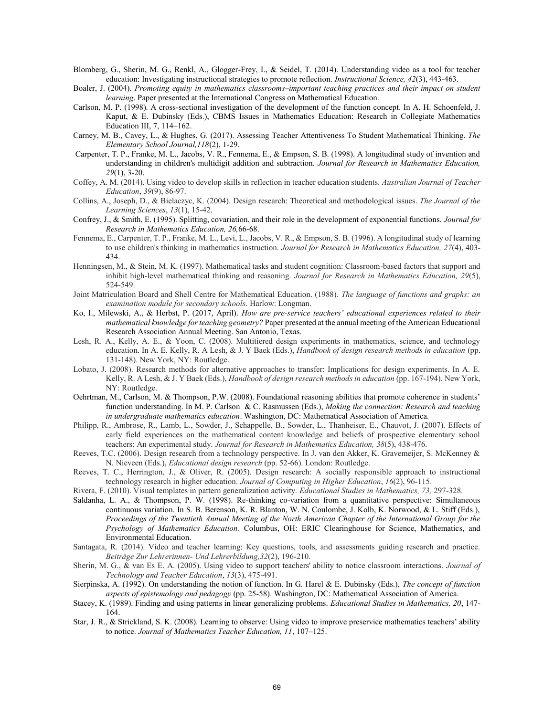- Blomberg, G., Sherin, M. G., Renkl, A., Glogger-Frey, I., & Seidel, T. (2014). Understanding video as a tool for teacher education: Investigating instructional strategies to promote reflection. *Instructional Science, 42*(3), 443-463.
- Boaler, J. (2004). *Promoting equity in mathematics classrooms–important teaching practices and their impact on student learning*. Paper presented at the International Congress on Mathematical Education.
- Carlson, M. P. (1998). A cross-sectional investigation of the development of the function concept. In A. H. Schoenfeld, J. Kaput, & E. Dubinsky (Eds.), CBMS Issues in Mathematics Education: Research in Collegiate Mathematics Education III, 7, 114–162.
- Carney, M. B., Cavey, L., & Hughes, G. (2017). Assessing Teacher Attentiveness To Student Mathematical Thinking. *The Elementary School Journal,118*(2), 1-29.
- Carpenter, T. P., Franke, M. L., Jacobs, V. R., Fennema, E., & Empson, S. B. (1998). A longitudinal study of invention and understanding in children's multidigit addition and subtraction. *Journal for Research in Mathematics Education, 29*(1), 3-20.
- Coffey, A. M. (2014). Using video to develop skills in reflection in teacher education students. *Australian Journal of Teacher Education*, *39*(9), 86-97.
- Collins, A., Joseph, D., & Bielaczyc, K. (2004). Design research: Theoretical and methodological issues. *The Journal of the Learning Sciences*, *13*(1), 15-42.
- Confrey, J., & Smith, E. (1995). Splitting, covariation, and their role in the development of exponential functions. *Journal for Research in Mathematics Education, 26,*66-68.
- Fennema, E., Carpenter, T. P., Franke, M. L., Levi, L., Jacobs, V. R., & Empson, S. B. (1996). A longitudinal study of learning to use children's thinking in mathematics instruction. *Journal for Research in Mathematics Education, 27*(4), 403- 434.
- Henningsen, M., & Stein, M. K. (1997). Mathematical tasks and student cognition: Classroom-based factors that support and inhibit high-level mathematical thinking and reasoning. *Journal for Research in Mathematics Education, 29*(5), 524-549.
- Joint Matriculation Board and Shell Centre for Mathematical Education. (1988). *The language of functions and graphs: an examination module for secondary schools*. Harlow: Longman.
- Ko, I., Milewski, A., & Herbst, P. (2017, April). *How are pre-service teachers' educational experiences related to their mathematical knowledge for teaching geometry?* Paper presented at the annual meeting of the American Educational Research Association Annual Meeting. San Antonio, Texas.
- Lesh, R. A., Kelly, A. E., & Yoon, C. (2008). Multitiered design experiments in mathematics, science, and technology education. In A. E. Kelly, R. A Lesh, & J. Y Baek (Eds.), *Handbook of design research methods in education* (pp. 131-148). New York, NY: Routledge.
- Lobato, J. (2008). Research methods for alternative approaches to transfer: Implications for design experiments. In A. E. Kelly, R. A Lesh, & J. Y Baek (Eds.), *Handbook of design research methods in education* (pp. 167-194). New York, NY: Routledge.
- Oehrtman, M., Carlson, M. & Thompson, P.W. (2008). Foundational reasoning abilities that promote coherence in students' function understanding. In M. P. Carlson & C. Rasmussen (Eds.), *Making the connection: Research and teaching in undergraduate mathematics education*. Washington, DC: Mathematical Association of America.
- Philipp, R., Ambrose, R., Lamb, L., Sowder, J., Schappelle, B., Sowder, L., Thanheiser, E., Chauvot, J. (2007). Effects of early field experiences on the mathematical content knowledge and beliefs of prospective elementary school teachers: An experimental study. *Journal for Research in Mathematics Education, 38*(5), 438-476.
- Reeves, T.C. (2006). Design research from a technology perspective. In J. van den Akker, K. Gravemeijer, S. McKenney & N. Nieveen (Eds.), *Educational design research* (pp. 52-66). London: Routledge.
- Reeves, T. C., Herrington, J., & Oliver, R. (2005). Design research: A socially responsible approach to instructional technology research in higher education. *Journal of Computing in Higher Education*, *16*(2), 96-115.
- Rivera, F. (2010). Visual templates in pattern generalization activity. *Educational Studies in Mathematics, 73,* 297-328.
- Saldanha, L. A., & Thompson, P. W. (1998). Re-thinking co-variation from a quantitative perspective: Simultaneous continuous variation. In S. B. Berenson, K. R. Blanton, W. N. Coulombe, J. Kolb, K. Norwood, & L. Stiff (Eds.), *Proceedings of the Twentieth Annual Meeting of the North American Chapter of the International Group for the Psychology of Mathematics Education.* Columbus, OH: ERIC Clearinghouse for Science, Mathematics, and Environmental Education.
- Santagata, R. (2014). Video and teacher learning: Key questions, tools, and assessments guiding research and practice. *Beiträge Zur Lehrerinnen- Und Lehrerbildung,32*(2), 196-210.
- Sherin, M. G., & van Es E. A. (2005). Using video to support teachers' ability to notice classroom interactions. *Journal of Technology and Teacher Education*, *13*(3), 475-491.
- Sierpinska, A. (1992). On understanding the notion of function. In G. Harel & E. Dubinsky (Eds.), *The concept of function aspects of epistemology and pedagogy* (pp. 25-58). Washington, DC: Mathematical Association of America.
- Stacey, K. (1989). Finding and using patterns in linear generalizing problems. *Educational Studies in Mathematics, 20*, 147- 164.
- Star, J. R., & Strickland, S. K. (2008). Learning to observe: Using video to improve preservice mathematics teachers' ability to notice. *Journal of Mathematics Teacher Education, 11*, 107–125.